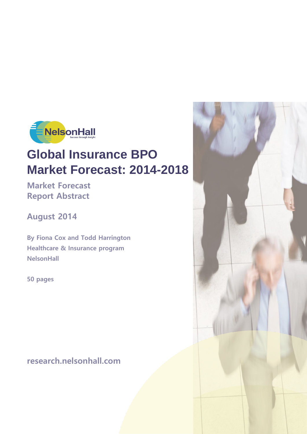

# **Global Insurance BPO Market Forecast: 2014-2018**

**Market Forecast Report Abstract**

**August 2014**

**By Fiona Cox and Todd Harrington Healthcare & Insurance program NelsonHall**

**50 pages**

**research.nelsonhall.com**

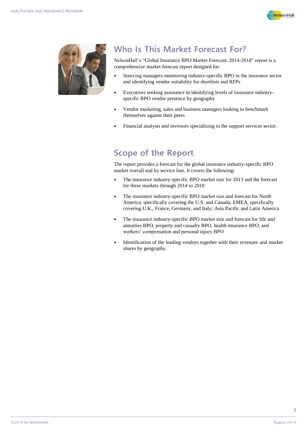



## **Who Is This Market Forecast For?**

NelsonHall's "Global Insurance BPO Market Forecast: 2014-2018" report is a comprehensive market forecast report designed for:

- Sourcing managers monitoring industry-specific BPO in the insurance sector and identifying vendor suitability for shortlists and RFPs
- Executives seeking assistance in identifying levels of insurance industryspecific BPO vendor presence by geography
- Vendor marketing, sales and business managers looking to benchmark themselves against their peers
- Financial analysts and investors specializing in the support services sector.

## **Scope of the Report**

The report provides a forecast for the global insurance industry-specific BPO market overall and by service line. It covers the following:

- The insurance industry-specific BPO market size for 2013 and the forecast for these markets through 2014 to 2018
- The insurance industry-specific BPO market size and forecast for North America, specifically covering the U.S. and Canada; EMEA, specifically covering U.K., France, Germany, and Italy; Asia Pacific and Latin America
- The insurance industry-specific BPO market size and forecast for life and annuities BPO, property and casualty BPO, health insurance BPO, and workers' compensation and personal injury BPO
- Identification of the leading vendors together with their revenues and market shares by geography.